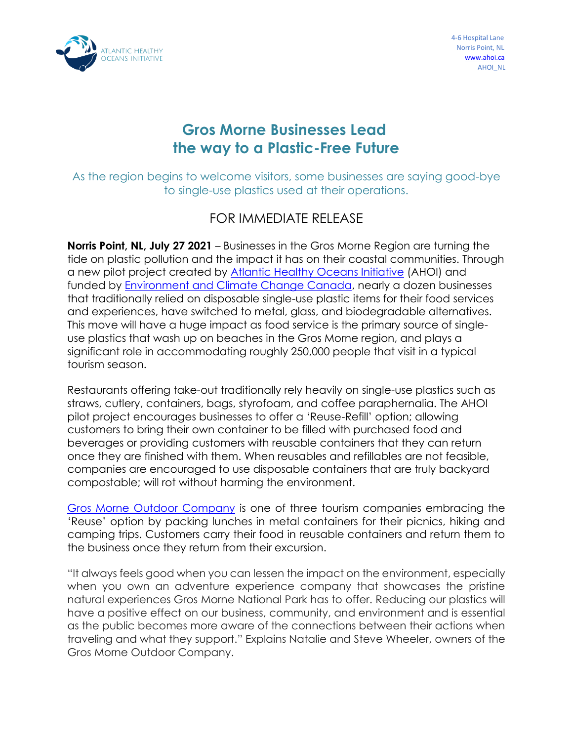

## **Gros Morne Businesses Lead the way to a Plastic-Free Future**

As the region begins to welcome visitors, some businesses are saying good-bye to single-use plastics used at their operations.

## FOR IMMEDIATE RELEASE

**Norris Point, NL, July 27 2021** – Businesses in the Gros Morne Region are turning the tide on plastic pollution and the impact it has on their coastal communities. Through a new pilot project created by [Atlantic Healthy Oceans Initiative](https://www.ahoi.ca/) (AHOI) and funded by [Environment and Climate Change Canada,](https://www.canada.ca/en/environment-climate-change/services/managing-reducing-waste/reduce-plastic-waste.html) nearly a dozen businesses that traditionally relied on disposable single-use plastic items for their food services and experiences, have switched to metal, glass, and biodegradable alternatives. This move will have a huge impact as food service is the primary source of singleuse plastics that wash up on beaches in the Gros Morne region, and plays a significant role in accommodating roughly 250,000 people that visit in a typical tourism season.

Restaurants offering take-out traditionally rely heavily on single-use plastics such as straws, cutlery, containers, bags, styrofoam, and coffee paraphernalia. The AHOI pilot project encourages businesses to offer a 'Reuse-Refill' option; allowing customers to bring their own container to be filled with purchased food and beverages or providing customers with reusable containers that they can return once they are finished with them. When reusables and refillables are not feasible, companies are encouraged to use disposable containers that are truly backyard compostable; will rot without harming the environment.

[Gros Morne Outdoor Company](https://www.grosmorneoutdoor.ca/) is one of three tourism companies embracing the 'Reuse' option by packing lunches in metal containers for their picnics, hiking and camping trips. Customers carry their food in reusable containers and return them to the business once they return from their excursion.

"It always feels good when you can lessen the impact on the environment, especially when you own an adventure experience company that showcases the pristine natural experiences Gros Morne National Park has to offer. Reducing our plastics will have a positive effect on our business, community, and environment and is essential as the public becomes more aware of the connections between their actions when traveling and what they support." Explains Natalie and Steve Wheeler, owners of the Gros Morne Outdoor Company.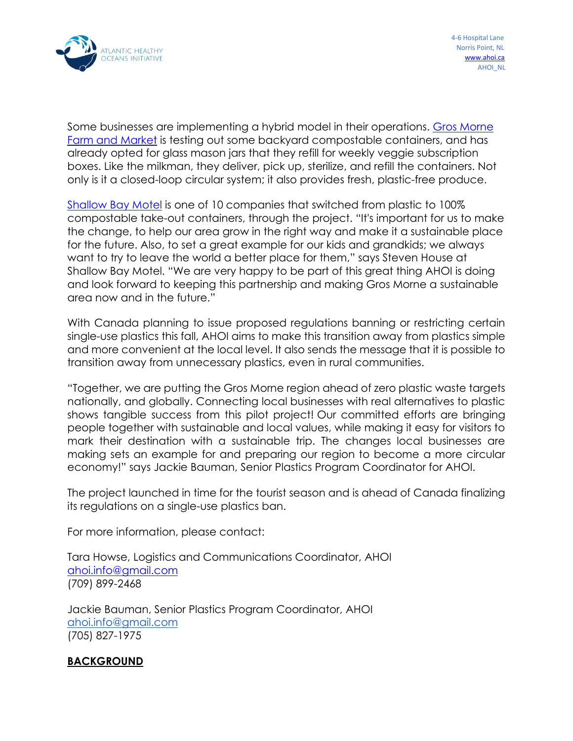

Some businesses are implementing a hybrid model in their operations. [Gros Morne](https://www.facebook.com/Grosmornefarmmarket/)  [Farm and Market](https://www.facebook.com/Grosmornefarmmarket/) is testing out some backyard compostable containers, and has already opted for glass mason jars that they refill for weekly veggie subscription boxes. Like the milkman, they deliver, pick up, sterilize, and refill the containers. Not only is it a closed-loop circular system; it also provides fresh, plastic-free produce.

[Shallow Bay Motel](https://shallowbaymotel.com/) is one of 10 companies that switched from plastic to 100% compostable take-out containers, through the project. "It's important for us to make the change, to help our area grow in the right way and make it a sustainable place for the future. Also, to set a great example for our kids and grandkids; we always want to try to leave the world a better place for them," says Steven House at Shallow Bay Motel. "We are very happy to be part of this great thing AHOI is doing and look forward to keeping this partnership and making Gros Morne a sustainable area now and in the future."

With Canada planning to issue proposed regulations banning or restricting certain single-use plastics this fall, AHOI aims to make this transition away from plastics simple and more convenient at the local level. It also sends the message that it is possible to transition away from unnecessary plastics, even in rural communities.

"Together, we are putting the Gros Morne region ahead of zero plastic waste targets nationally, and globally. Connecting local businesses with real alternatives to plastic shows tangible success from this pilot project! Our committed efforts are bringing people together with sustainable and local values, while making it easy for visitors to mark their destination with a sustainable trip. The changes local businesses are making sets an example for and preparing our region to become a more circular economy!" says Jackie Bauman, Senior Plastics Program Coordinator for AHOI.

The project launched in time for the tourist season and is ahead of Canada finalizing its regulations on a single-use plastics ban.

For more information, please contact:

Tara Howse, Logistics and Communications Coordinator, AHOI [ahoi.info@gmail.com](mailto:ahoi.info@gmail.com) (709) 899-2468

Jackie Bauman, Senior Plastics Program Coordinator, AHOI [ahoi.info@gmail.com](mailto:ahoi.info@gmail.com) (705) 827-1975

## **BACKGROUND**